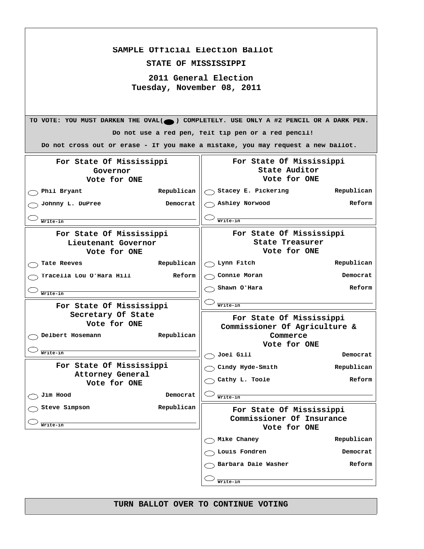| SAMPLE Official Election Ballot<br>STATE OF MISSISSIPPI<br>2011 General Election<br>Tuesday, November 08, 2011<br>TO VOTE: YOU MUST DARKEN THE OVAL(O) COMPLETELY. USE ONLY A #2 PENCIL OR A DARK PEN.<br>Do not use a red pen, felt tip pen or a red pencil!<br>Do not cross out or erase - If you make a mistake, you may request a new ballot.<br>For State Of Mississippi<br>For State Of Mississippi<br>State Auditor<br>Governor<br>Vote for ONE<br>Vote for ONE<br>Stacey E. Pickering<br>Republican<br>Republican<br>Phil Bryant<br>Ashley Norwood<br>Reform<br>Johnny L. DuPree<br>Democrat<br>Writelin<br>Write-in<br>For State Of Mississippi<br>For State Of Mississippi<br>State Treasurer<br>Lieutenant Governor<br>Vote for ONE<br>Vote for ONE<br>Lynn Fitch<br>Republican<br>Republican<br>Tate Reeves<br>Connie Moran<br>Democrat<br>Tracella Lou O'Hara Hill<br>Reform<br>Shawn O'Hara<br>Reform<br>Write-in<br>Write-in<br>For State Of Mississippi<br>Secretary Of State<br>For State Of Mississippi<br>Vote for ONE<br>Commissioner Of Agriculture &<br>Delbert Hosemann<br>Republican<br>Commerce |  |              |  |
|--------------------------------------------------------------------------------------------------------------------------------------------------------------------------------------------------------------------------------------------------------------------------------------------------------------------------------------------------------------------------------------------------------------------------------------------------------------------------------------------------------------------------------------------------------------------------------------------------------------------------------------------------------------------------------------------------------------------------------------------------------------------------------------------------------------------------------------------------------------------------------------------------------------------------------------------------------------------------------------------------------------------------------------------------------------------------------------------------------------------------|--|--------------|--|
|                                                                                                                                                                                                                                                                                                                                                                                                                                                                                                                                                                                                                                                                                                                                                                                                                                                                                                                                                                                                                                                                                                                          |  |              |  |
|                                                                                                                                                                                                                                                                                                                                                                                                                                                                                                                                                                                                                                                                                                                                                                                                                                                                                                                                                                                                                                                                                                                          |  |              |  |
|                                                                                                                                                                                                                                                                                                                                                                                                                                                                                                                                                                                                                                                                                                                                                                                                                                                                                                                                                                                                                                                                                                                          |  |              |  |
|                                                                                                                                                                                                                                                                                                                                                                                                                                                                                                                                                                                                                                                                                                                                                                                                                                                                                                                                                                                                                                                                                                                          |  |              |  |
|                                                                                                                                                                                                                                                                                                                                                                                                                                                                                                                                                                                                                                                                                                                                                                                                                                                                                                                                                                                                                                                                                                                          |  |              |  |
|                                                                                                                                                                                                                                                                                                                                                                                                                                                                                                                                                                                                                                                                                                                                                                                                                                                                                                                                                                                                                                                                                                                          |  |              |  |
|                                                                                                                                                                                                                                                                                                                                                                                                                                                                                                                                                                                                                                                                                                                                                                                                                                                                                                                                                                                                                                                                                                                          |  |              |  |
|                                                                                                                                                                                                                                                                                                                                                                                                                                                                                                                                                                                                                                                                                                                                                                                                                                                                                                                                                                                                                                                                                                                          |  |              |  |
|                                                                                                                                                                                                                                                                                                                                                                                                                                                                                                                                                                                                                                                                                                                                                                                                                                                                                                                                                                                                                                                                                                                          |  |              |  |
|                                                                                                                                                                                                                                                                                                                                                                                                                                                                                                                                                                                                                                                                                                                                                                                                                                                                                                                                                                                                                                                                                                                          |  |              |  |
|                                                                                                                                                                                                                                                                                                                                                                                                                                                                                                                                                                                                                                                                                                                                                                                                                                                                                                                                                                                                                                                                                                                          |  |              |  |
|                                                                                                                                                                                                                                                                                                                                                                                                                                                                                                                                                                                                                                                                                                                                                                                                                                                                                                                                                                                                                                                                                                                          |  |              |  |
|                                                                                                                                                                                                                                                                                                                                                                                                                                                                                                                                                                                                                                                                                                                                                                                                                                                                                                                                                                                                                                                                                                                          |  |              |  |
|                                                                                                                                                                                                                                                                                                                                                                                                                                                                                                                                                                                                                                                                                                                                                                                                                                                                                                                                                                                                                                                                                                                          |  |              |  |
|                                                                                                                                                                                                                                                                                                                                                                                                                                                                                                                                                                                                                                                                                                                                                                                                                                                                                                                                                                                                                                                                                                                          |  |              |  |
|                                                                                                                                                                                                                                                                                                                                                                                                                                                                                                                                                                                                                                                                                                                                                                                                                                                                                                                                                                                                                                                                                                                          |  |              |  |
|                                                                                                                                                                                                                                                                                                                                                                                                                                                                                                                                                                                                                                                                                                                                                                                                                                                                                                                                                                                                                                                                                                                          |  |              |  |
|                                                                                                                                                                                                                                                                                                                                                                                                                                                                                                                                                                                                                                                                                                                                                                                                                                                                                                                                                                                                                                                                                                                          |  |              |  |
|                                                                                                                                                                                                                                                                                                                                                                                                                                                                                                                                                                                                                                                                                                                                                                                                                                                                                                                                                                                                                                                                                                                          |  |              |  |
|                                                                                                                                                                                                                                                                                                                                                                                                                                                                                                                                                                                                                                                                                                                                                                                                                                                                                                                                                                                                                                                                                                                          |  |              |  |
|                                                                                                                                                                                                                                                                                                                                                                                                                                                                                                                                                                                                                                                                                                                                                                                                                                                                                                                                                                                                                                                                                                                          |  |              |  |
|                                                                                                                                                                                                                                                                                                                                                                                                                                                                                                                                                                                                                                                                                                                                                                                                                                                                                                                                                                                                                                                                                                                          |  |              |  |
|                                                                                                                                                                                                                                                                                                                                                                                                                                                                                                                                                                                                                                                                                                                                                                                                                                                                                                                                                                                                                                                                                                                          |  |              |  |
|                                                                                                                                                                                                                                                                                                                                                                                                                                                                                                                                                                                                                                                                                                                                                                                                                                                                                                                                                                                                                                                                                                                          |  | Vote for ONE |  |
| Write-in<br>Joel Gill<br>Democrat                                                                                                                                                                                                                                                                                                                                                                                                                                                                                                                                                                                                                                                                                                                                                                                                                                                                                                                                                                                                                                                                                        |  |              |  |
| For State Of Mississippi<br>Cindy Hyde-Smith<br>Republican                                                                                                                                                                                                                                                                                                                                                                                                                                                                                                                                                                                                                                                                                                                                                                                                                                                                                                                                                                                                                                                               |  |              |  |
| <b>Attorney General</b><br>Cathy L. Toole<br>Reform<br>Vote for ONE                                                                                                                                                                                                                                                                                                                                                                                                                                                                                                                                                                                                                                                                                                                                                                                                                                                                                                                                                                                                                                                      |  |              |  |
| Jim Hood<br>Democrat<br>Write-in                                                                                                                                                                                                                                                                                                                                                                                                                                                                                                                                                                                                                                                                                                                                                                                                                                                                                                                                                                                                                                                                                         |  |              |  |
| Steve Simpson<br>Republican<br>For State Of Mississippi                                                                                                                                                                                                                                                                                                                                                                                                                                                                                                                                                                                                                                                                                                                                                                                                                                                                                                                                                                                                                                                                  |  |              |  |
| Commissioner Of Insurance<br>Write-in                                                                                                                                                                                                                                                                                                                                                                                                                                                                                                                                                                                                                                                                                                                                                                                                                                                                                                                                                                                                                                                                                    |  |              |  |
| Vote for ONE                                                                                                                                                                                                                                                                                                                                                                                                                                                                                                                                                                                                                                                                                                                                                                                                                                                                                                                                                                                                                                                                                                             |  |              |  |
| Mike Chaney<br>Republican                                                                                                                                                                                                                                                                                                                                                                                                                                                                                                                                                                                                                                                                                                                                                                                                                                                                                                                                                                                                                                                                                                |  |              |  |
| Louis Fondren<br>Democrat                                                                                                                                                                                                                                                                                                                                                                                                                                                                                                                                                                                                                                                                                                                                                                                                                                                                                                                                                                                                                                                                                                |  |              |  |
| Barbara Dale Washer<br>Reform                                                                                                                                                                                                                                                                                                                                                                                                                                                                                                                                                                                                                                                                                                                                                                                                                                                                                                                                                                                                                                                                                            |  |              |  |
| Write-in                                                                                                                                                                                                                                                                                                                                                                                                                                                                                                                                                                                                                                                                                                                                                                                                                                                                                                                                                                                                                                                                                                                 |  |              |  |

 $\Gamma$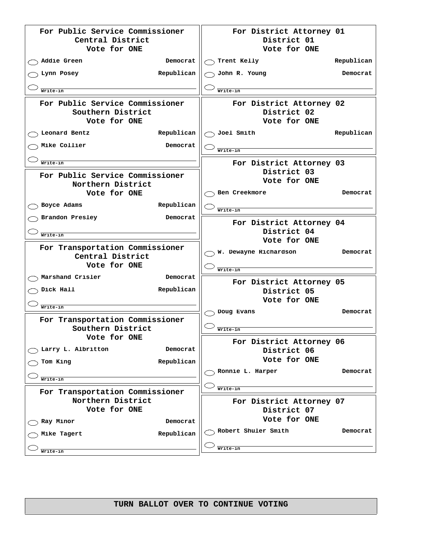| For Public Service Commissioner<br>Central District<br>Vote for ONE  |            |                  | For District Attorney 01<br>District 01<br>Vote for ONE |            |
|----------------------------------------------------------------------|------------|------------------|---------------------------------------------------------|------------|
| Addie Green                                                          | Democrat   | Trent Kelly      |                                                         | Republican |
| Lynn Posey                                                           | Republican | John R. Young    |                                                         | Democrat   |
| Write-in                                                             |            | Write-in         |                                                         |            |
| For Public Service Commissioner<br>Southern District<br>Vote for ONE |            |                  | For District Attorney 02<br>District 02<br>Vote for ONE |            |
| Leonard Bentz                                                        | Republican | Joel Smith       |                                                         | Republican |
| Mike Collier                                                         | Democrat   | Write-in         |                                                         |            |
| Write-in                                                             |            |                  | For District Attorney 03                                |            |
| For Public Service Commissioner                                      |            |                  | District 03                                             |            |
| Northern District                                                    |            |                  | Vote for ONE                                            |            |
| Vote for ONE                                                         |            | Ben Creekmore    |                                                         | Democrat   |
| Boyce Adams                                                          | Republican | Write-in         |                                                         |            |
| Brandon Presley                                                      | Democrat   |                  | For District Attorney 04                                |            |
| Write-in                                                             |            |                  | District 04                                             |            |
|                                                                      |            |                  | Vote for ONE                                            |            |
| For Transportation Commissioner<br>Central District                  |            |                  | W. Dewayne Richardson                                   | Democrat   |
| Vote for ONE                                                         |            |                  |                                                         |            |
| Marshand Crisler                                                     | Democrat   | Write-in         |                                                         |            |
| Dick Hall                                                            | Republican |                  | For District Attorney 05<br>District 05                 |            |
|                                                                      |            |                  | Vote for ONE                                            |            |
| Write-in                                                             |            | Doug Evans       |                                                         | Democrat   |
| For Transportation Commissioner                                      |            |                  |                                                         |            |
| Southern District                                                    |            | Write-in         |                                                         |            |
| Vote for ONE                                                         |            |                  | For District Attorney 06                                |            |
| Larry L. Albritton                                                   | Democrat   |                  | District 06                                             |            |
| Tom King                                                             | Republican |                  | Vote for ONE                                            |            |
|                                                                      |            | Ronnie L. Harper |                                                         | Democrat   |
| Write-in                                                             |            |                  |                                                         |            |
| For Transportation Commissioner                                      |            | Write-in         |                                                         |            |
| Northern District<br>Vote for ONE                                    |            |                  | For District Attorney 07                                |            |
|                                                                      |            |                  | District 07<br>Vote for ONE                             |            |
| Ray Minor                                                            | Democrat   |                  | Robert Shuler Smith                                     | Democrat   |
| Mike Tagert                                                          | Republican |                  |                                                         |            |
| Write-in                                                             |            | Write-in         |                                                         |            |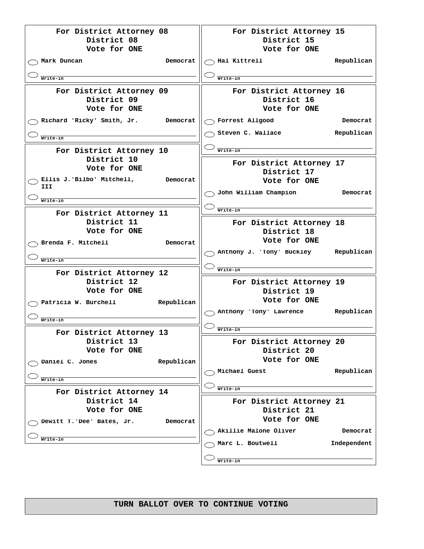| For District Attorney 08<br>District 08<br>Vote for ONE                                                 |            | For District Attorney 15<br>District 15<br>Vote for ONE                                          |                        |
|---------------------------------------------------------------------------------------------------------|------------|--------------------------------------------------------------------------------------------------|------------------------|
| Mark Duncan<br>Write-in                                                                                 | Democrat   | Hal Kittrell<br>Write-in                                                                         | Republican             |
| For District Attorney 09<br>District 09<br>Vote for ONE<br>Richard 'Ricky' Smith, Jr.<br>Write-in       | Democrat   | For District Attorney 16<br>District 16<br>Vote for ONE<br>Forrest Allgood<br>Steven C. Wallace  | Democrat<br>Republican |
| For District Attorney 10<br>District 10<br>Vote for ONE<br>Ellis J.'Bilbo' Mitchell,<br>III<br>Write-in | Democrat   | Write-in<br>For District Attorney 17<br>District 17<br>Vote for ONE<br>John William Champion     | Democrat               |
| For District Attorney 11<br>District 11<br>Vote for ONE<br>Brenda F. Mitchell                           | Democrat   | Write-in<br>For District Attorney 18<br>District 18<br>Vote for ONE<br>Anthony J. 'Tony' Buckley | Republican             |
| Write-in<br>For District Attorney 12<br>District 12<br>Vote for ONE<br>Patricia W. Burchell             | Republican | Write-in<br>For District Attorney 19<br>District 19<br>Vote for ONE<br>Anthony 'Tony' Lawrence   | Republican             |
| Writelin<br>For District Attorney 13<br>District 13<br>Vote for ONE                                     |            | Write-in<br>For District Attorney 20<br>District 20                                              |                        |
| Daniel C. Jones<br>Write-in<br>For District Attorney 14                                                 | Republican | Vote for ONE<br>Michael Guest<br>Write-in                                                        | Republican             |
| District 14<br>Vote for ONE<br>Dewitt T. 'Dee' Bates, Jr.                                               | Democrat   | For District Attorney 21<br>District 21<br>Vote for ONE<br>Akillie Malone Oliver                 | Democrat               |
| Write-in                                                                                                |            | Marc L. Boutwell<br>Write-in                                                                     | Independent            |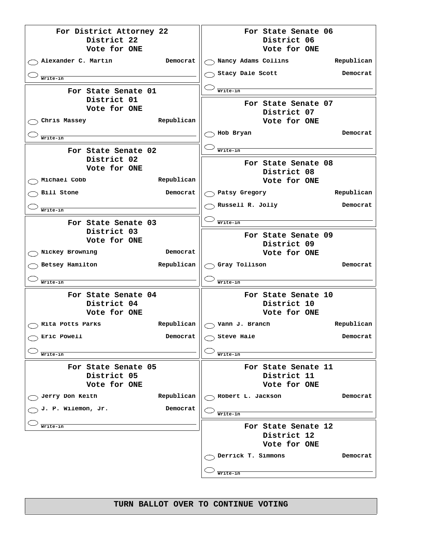| For District Attorney 22<br>District 22<br>Vote for ONE   | For State Senate 06<br>District 06<br>Vote for ONE |
|-----------------------------------------------------------|----------------------------------------------------|
| Alexander C. Martin<br>Democrat                           | ) Nancy Adams Collins<br>Republican                |
| Write-in                                                  | Stacy Dale Scott<br>Democrat                       |
| For State Senate 01                                       | Write-in                                           |
| District 01<br>Vote for ONE<br>Republican<br>Chris Massey | For State Senate 07<br>District 07<br>Vote for ONE |
| Write-in                                                  | Hob Bryan<br>Democrat                              |
| For State Senate 02                                       | Write-in                                           |
| District 02<br>Vote for ONE<br>Republican<br>Michael Cobb | For State Senate 08<br>District 08<br>Vote for ONE |
| Bill Stone<br>Democrat                                    | Republican<br>Patsy Gregory                        |
|                                                           | Russell R. Jolly<br>Democrat                       |
| Write-in                                                  | Write-in                                           |
| For State Senate 03<br>District 03<br>Vote for ONE        | For State Senate 09<br>District 09                 |
| Nickey Browning<br>Democrat                               | Vote for ONE                                       |
| Betsey Hamilton<br>Republican                             | Gray Tollison<br>Democrat                          |
| Write-in                                                  | Write-in                                           |
| For State Senate 04<br>District 04<br>Vote for ONE        | For State Senate 10<br>District 10<br>Vote for ONE |
| Republican<br>Rita Potts Parks                            | Republican<br>$\bigcirc$ Vann J. Branch            |
| Eric Powell<br>Democrat                                   | Steve Hale<br>Democrat                             |
| Write-in                                                  | Write-in                                           |
| For State Senate 05<br>District 05<br>Vote for ONE        | For State Senate 11<br>District 11<br>Vote for ONE |
| Jerry Don Keith<br>Republican                             | Robert L. Jackson<br>Democrat                      |
| J. P. Wilemon, Jr.<br>Democrat                            | Write-in                                           |
| Write-in                                                  | For State Senate 12<br>District 12<br>Vote for ONE |
|                                                           | Derrick T. Simmons<br>Democrat<br>Write-in         |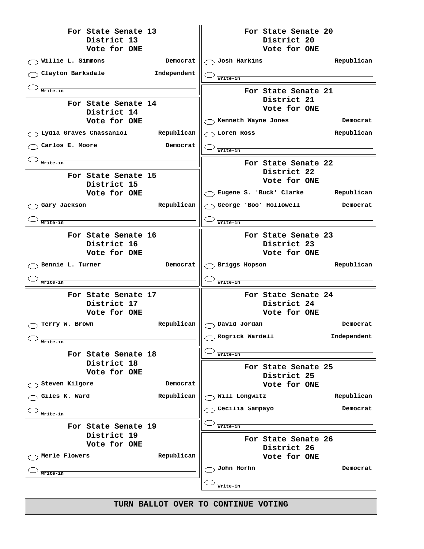| For State Senate 13<br>District 13 | For State Senate 20<br>District 20           |
|------------------------------------|----------------------------------------------|
| Vote for ONE                       | Vote for ONE                                 |
| Willie L. Simmons<br>Democrat      | Josh Harkins<br>Republican                   |
| Clayton Barksdale<br>Independent   | Write-in                                     |
| Write-in                           | For State Senate 21                          |
| For State Senate 14                | District 21                                  |
| District 14                        | Vote for ONE                                 |
| Vote for ONE                       | $\backslash$ Kenneth Wayne Jones<br>Democrat |
| Lydia Graves Chassaniol Republican | ) Loren Ross<br>Republican                   |
| Carlos E. Moore<br>Democrat        | Write-in                                     |
| Write-in                           | For State Senate 22                          |
| For State Senate 15                | District 22                                  |
| District 15                        | Vote for ONE                                 |
| Vote for ONE                       | Eugene S. 'Buck' Clarke Republican           |
| Republican<br>Gary Jackson         | George 'Boo' Hollowell,<br>Democrat          |
| Write-in                           | Write-in                                     |
| For State Senate 16                | For State Senate 23                          |
| District 16                        | District 23                                  |
| Vote for ONE                       | Vote for ONE                                 |
|                                    |                                              |
| Bennie L. Turner<br>Democrat       | $\searrow$ Briggs Hopson<br>Republican       |
| Write-in                           | Write-in                                     |
| For State Senate 17                | For State Senate 24                          |
| District 17                        | District 24                                  |
| Vote for ONE                       | Vote for ONE                                 |
| Republican<br>Terry W. Brown       | $\bigcirc$ David Jordan<br>Democrat          |
| Write-in                           | Rogrick Wardell<br>Independent               |
| For State Senate 18                | Write-in                                     |
| District 18                        |                                              |
| Vote for ONE                       | For State Senate 25<br>District 25           |
| Steven Kilgore<br>Democrat         | Vote for ONE                                 |
| Republican<br>Giles K. Ward        | Will Longwitz<br>Republican                  |
| Write-in                           | Cecilia Sampayo<br>Democrat                  |
| For State Senate 19                | Write-in                                     |
| District 19                        | For State Senate 26                          |
| Vote for ONE                       | District 26                                  |
| Republican<br>Merle Flowers        | Vote for ONE                                 |
|                                    | John Horhn<br>Democrat                       |
| Write-in                           | Write-in                                     |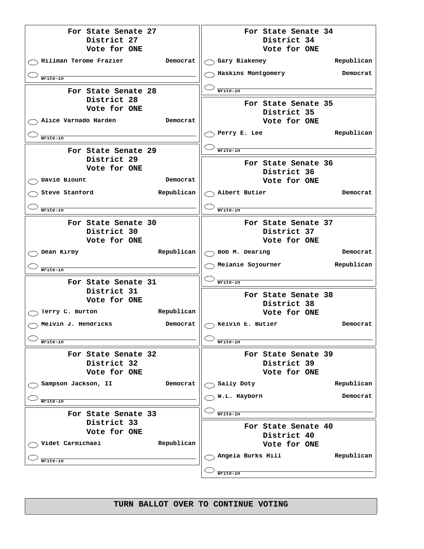**For State Senate 27 District 27 Vote for ONE Hillman Terome Frazier Democrat Write-in For State Senate 28 District 28 Vote for ONE Alice Varnado Harden Democrat Write-in For State Senate 29 District 29 Vote for ONE David Blount Democrat Steve Stanford Republican Write-in For State Senate 30 District 30 Vote for ONE** ◯ Dean Kirby **Republican Write-in For State Senate 31 District 31 Vote for ONE Terry C. Burton Republican Melvin J. Hendricks Democrat Write-in For State Senate 32 District 32 Vote for ONE Sampson Jackson, II Democrat Write-in For State Senate 33 District 33 Vote for ONE**  $\bigcirc$  Videt Carmichael **Republican Write-in For State Senate 34 District 34 Vote for ONE Gary Blakeney Republican Haskins Montgomery Democrat Write-in For State Senate 35 District 35 Vote for ONE Perry E. Lee Republican Write-in For State Senate 36 District 36 Vote for ONE Albert Butler Democrat Write-in For State Senate 37 District 37 Vote for ONE Bob M. Dearing Democrat Melanie Sojourner Republican Write-in For State Senate 38 District 38 Vote for ONE Kelvin E. Butler Democrat Write-in For State Senate 39 District 39 Vote for ONE** ◯ Sally Doty **Republican W.L. Rayborn Democrat Write-in For State Senate 40 District 40 Vote for ONE Angela Burks Hill Republican Write-in**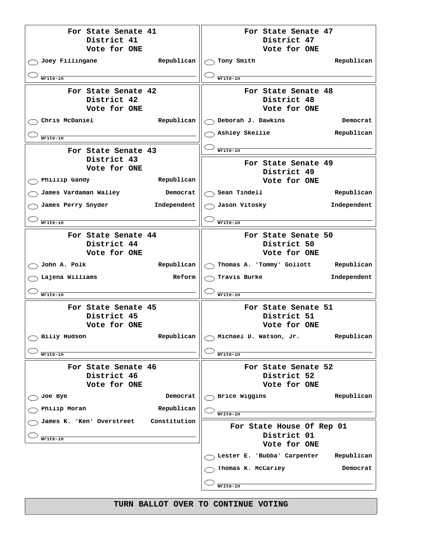**For State Senate 41 District 41 Vote for ONE**  $\bigcirc$  Joey Fillingane **Republican**  $\big|$ **Write-in For State Senate 42 District 42 Vote for ONE Chris McDaniel Republican Write-in For State Senate 43 District 43 Vote for ONE Phillip Gandy Republican James Vardaman Walley Democrat James Perry Snyder Independent Write-in For State Senate 44 District 44 Vote for ONE**  $\bigcirc$  John A. Polk **Republican**  $\big\|$ **Lajena Williams Reform Write-in For State Senate 45 District 45 Vote for ONE Billy Hudson Republican Write-in For State Senate 46 District 46 Vote for ONE Joe Bye Democrat Philip Moran Republican James K. 'Ken' Overstreet Constitution Write-in For State Senate 47 District 47 Vote for ONE Tony Smith Republican Write-in For State Senate 48 District 48 Vote for ONE Deborah J. Dawkins Democrat Ashley Skellie Republican Write-in For State Senate 49 District 49 Vote for ONE** ◯ Sean Tindell **Republican Jason Vitosky Independent Write-in For State Senate 50 District 50 Vote for ONE Thomas A. 'Tommy' Gollott Republican Travis Burke Independent Write-in For State Senate 51 District 51 Vote for ONE Michael D. Watson, Jr. Republican Write-in For State Senate 52 District 52 Vote for ONE Brice Wiggins Republican Write-in For State House Of Rep 01 District 01 Vote for ONE Lester E. 'Bubba' Carpenter Republican Thomas K. McCarley Democrat Write-in**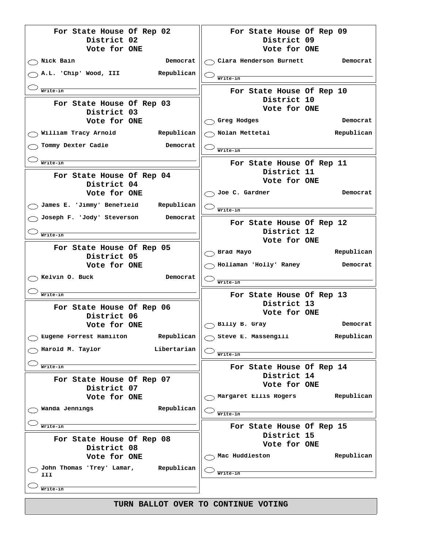| For State House Of Rep 02                      | For State House Of Rep 09                |
|------------------------------------------------|------------------------------------------|
| District 02<br>Vote for ONE                    | District 09<br>Vote for ONE              |
| Nick Bain<br>Democrat                          | Clara Henderson Burnett<br>Democrat      |
| A.L. 'Chip' Wood, III<br>Republican            | Write-in                                 |
|                                                |                                          |
| Write-in                                       | For State House Of Rep 10<br>District 10 |
| For State House Of Rep 03                      | Vote for ONE                             |
| District 03<br>Vote for ONE                    | Greg Hodges<br>Democrat                  |
| William Tracy Arnold<br>Republican             | Republican<br>Nolan Mettetal             |
| Tommy Dexter Cadle<br>Democrat                 |                                          |
|                                                | Write-in                                 |
| Write-in                                       | For State House Of Rep 11                |
| For State House Of Rep 04                      | District 11                              |
| District 04                                    | Vote for ONE                             |
| Vote for ONE                                   | Joe C. Gardner<br>Democrat               |
| James E. 'Jimmy' Benefield<br>Republican       | Write-in                                 |
| Joseph F. 'Jody' Steverson<br>Democrat         | For State House Of Rep 12                |
|                                                | District 12                              |
| Write-in                                       | Vote for ONE                             |
| For State House Of Rep 05                      | Brad Mayo<br>Republican                  |
| District 05<br>Vote for ONE                    | Hollaman 'Holly' Raney<br>Democrat       |
| Kelvin O. Buck<br>Democrat                     |                                          |
|                                                | Write-in                                 |
| Write-in                                       | For State House Of Rep 13                |
| For State House Of Rep 06                      | District 13                              |
| District 06                                    | Vote for ONE                             |
| Vote for ONE                                   | Billy B. Gray<br>Democrat                |
| Eugene Forrest Hamilton<br>Republican          | Republican<br>Steve E. Massengill        |
| Libertarian<br>Harold M. Taylor                | Write-in                                 |
| Write-in                                       | For State House Of Rep 14                |
| For State House Of Rep 07                      | District 14                              |
| District 07                                    | Vote for ONE                             |
| Vote for ONE                                   | Margaret Ellis Rogers<br>Republican      |
| Wanda Jennings<br>Republican                   | Write-in                                 |
| Write-in                                       | For State House Of Rep 15                |
|                                                | District 15                              |
| For State House Of Rep 08<br>District 08       | Vote for ONE                             |
| Vote for ONE                                   | Mac Huddleston<br>Republican             |
| John Thomas 'Trey' Lamar,<br>Republican<br>III | Write-in                                 |
| Write-in                                       |                                          |
|                                                | TURN BALLOT OVER TO CONTINUE VOTING      |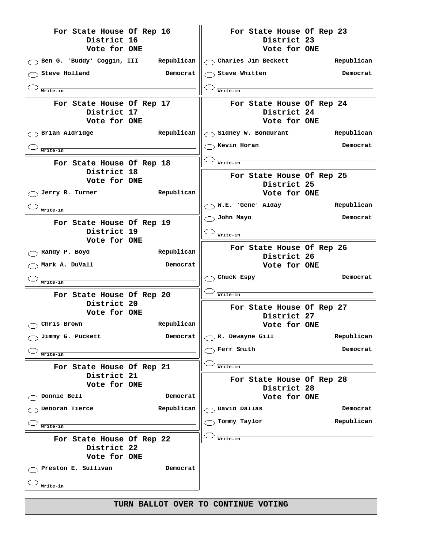| For State House Of Rep 16<br>District 16                     | For State House Of Rep 23<br>District 23                     |
|--------------------------------------------------------------|--------------------------------------------------------------|
| Vote for ONE<br>Ben G. 'Buddy' Coggin, III Republican        | Vote for ONE<br>$\bigcirc$ Charles Jim Beckett<br>Republican |
| Steve Holland<br>Democrat                                    | $_{\circ}$ Steve Whitten<br>Democrat                         |
|                                                              |                                                              |
| Write-in                                                     | Write-in                                                     |
| For State House Of Rep 17<br>District 17<br>Vote for ONE     | For State House Of Rep 24<br>District 24<br>Vote for ONE     |
| Brian Aldridge<br>Republican                                 | $\bigcirc$ Sidney W. Bondurant<br>Republican                 |
| Write-in                                                     | Kevin Horan<br>Democrat                                      |
| For State House Of Rep 18                                    | Write-in                                                     |
| District 18<br>Vote for ONE<br>Republican<br>Jerry R. Turner | For State House Of Rep 25<br>District 25<br>Vote for ONE     |
| Write-in                                                     | W.E. 'Gene' Alday<br>Republican                              |
| For State House Of Rep 19                                    | John Mayo<br>Democrat                                        |
| District 19                                                  | Write-in                                                     |
| Vote for ONE                                                 |                                                              |
| Republican<br>Randy P. Boyd                                  | For State House Of Rep 26<br>District 26                     |
| Mark A. DuVall<br>Democrat                                   | Vote for ONE                                                 |
| Write-in                                                     | Chuck Espy<br>Democrat                                       |
| For State House Of Rep 20                                    | Write-in                                                     |
| District 20                                                  | For State House Of Rep 27                                    |
| Vote for ONE                                                 | District 27                                                  |
| Republican<br>Chris Brown                                    | Vote for ONE                                                 |
| Jimmy G. Puckett<br>Democrat                                 | R. Dewayne Gill<br>Republican                                |
| Write-in                                                     | Ferr Smith<br>Democrat                                       |
| For State House Of Rep 21                                    | Write-in                                                     |
| District 21                                                  | For State House Of Rep 28                                    |
| Vote for ONE                                                 | District 28                                                  |
| Donnie Bell<br>Democrat                                      | Vote for ONE                                                 |
| Deborah Tierce<br>Republican                                 | David Dallas<br>Democrat                                     |
| Write-in                                                     | Republican<br>Tommy Taylor                                   |
| For State House Of Rep 22<br>District 22<br>Vote for ONE     | Write-in                                                     |
| Preston E. Sullivan<br>Democrat                              |                                                              |
| Write-in                                                     |                                                              |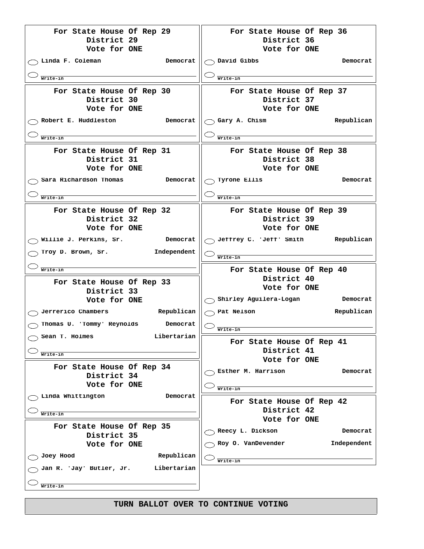| For State House Of Rep 29<br>District 29<br>Vote for ONE | For State House Of Rep 36<br>District 36<br>Vote for ONE |
|----------------------------------------------------------|----------------------------------------------------------|
| Linda F. Coleman<br>Democrat                             | David Gibbs<br>Democrat                                  |
| Write-in                                                 | Write-in                                                 |
| For State House Of Rep 30<br>District 30<br>Vote for ONE | For State House Of Rep 37<br>District 37<br>Vote for ONE |
| Robert E. Huddleston<br>Democrat                         | Gary A. Chism<br>Republican                              |
| Write-in                                                 | Write-in                                                 |
| For State House Of Rep 31<br>District 31<br>Vote for ONE | For State House Of Rep 38<br>District 38<br>Vote for ONE |
| Sara Richardson Thomas<br>Democrat                       | Tyrone Ellis<br>Democrat                                 |
|                                                          |                                                          |
| Write-in                                                 | Write-in                                                 |
| For State House Of Rep 32<br>District 32<br>Vote for ONE | For State House Of Rep 39<br>District 39<br>Vote for ONE |
| Willie J. Perkins, Sr.<br>Democrat                       | Jeffrey C. 'Jeff' Smith<br>Republican                    |
| Independent<br>Troy D. Brown, Sr.                        | Write-in                                                 |
|                                                          |                                                          |
| Write-in                                                 |                                                          |
|                                                          | For State House Of Rep 40                                |
| For State House Of Rep 33                                | District 40<br>Vote for ONE                              |
| District 33                                              |                                                          |
| Vote for ONE                                             | $\supset$ Shirley Aguilera-Logan<br>Democrat             |
| Jerrerico Chambers<br>Republican                         | Republican<br>Pat Nelson                                 |
| Thomas U. 'Tommy' Reynolds<br>Democrat                   | Write-in                                                 |
| Libertarian<br>$\supset$ Sean T. Holmes                  |                                                          |
|                                                          | For State House Of Rep 41                                |
| Write-in                                                 | District 41<br>Vote for ONE                              |
| For State House Of Rep 34                                |                                                          |
| District 34                                              | Esther M. Harrison<br>Democrat                           |
| Vote for ONE                                             | Write-in                                                 |
| Linda Whittington<br>Democrat                            |                                                          |
|                                                          | For State House Of Rep 42                                |
| Write-in                                                 | District 42<br>Vote for ONE                              |
| For State House Of Rep 35                                |                                                          |
| District 35                                              | Reecy L. Dickson<br>Democrat                             |
| Vote for ONE                                             | Roy O. VanDevender<br>Independent                        |
| Republican<br>Joey Hood                                  |                                                          |
| Jan R. 'Jay' Butler, Jr.<br>Libertarian                  | Write-in                                                 |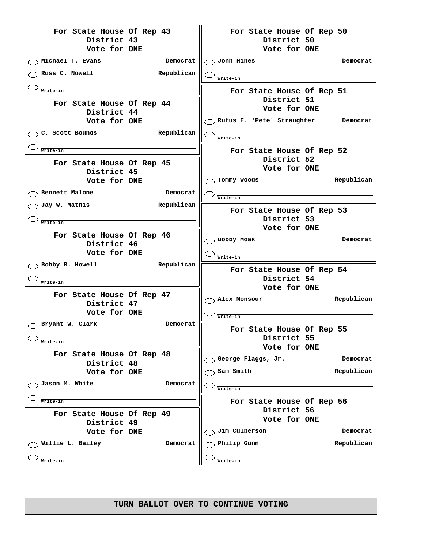**For State House Of Rep 43 District 43 Vote for ONE Michael T. Evans Democrat Russ C. Nowell Republican Write-in For State House Of Rep 44 District 44 Vote for ONE C. Scott Bounds Republican Write-in For State House Of Rep 45 District 45 Vote for ONE Bennett Malone Democrat Jay W. Mathis Republican Write-in For State House Of Rep 46 District 46 Vote for ONE Bobby B. Howell Republican Write-in For State House Of Rep 47 District 47 Vote for ONE Bryant W. Clark Democrat Write-in For State House Of Rep 48 District 48 Vote for ONE Jason M. White Democrat Write-in For State House Of Rep 49 District 49 Vote for ONE Willie L. Bailey Democrat Write-in For State House Of Rep 50 District 50 Vote for ONE John Hines Democrat Write-in For State House Of Rep 51 District 51 Vote for ONE Rufus E. 'Pete' Straughter Democrat Write-in For State House Of Rep 52 District 52 Vote for ONE Tommy Woods Republican Write-in For State House Of Rep 53 District 53 Vote for ONE Bobby Moak Democrat Write-in For State House Of Rep 54 District 54 Vote for ONE Alex Monsour Republican Write-in For State House Of Rep 55 District 55 Vote for ONE George Flaggs, Jr. Democrat** ◯ Sam Smith **Republican Write-in For State House Of Rep 56 District 56 Vote for ONE Jim Culberson Democrat** ◯ Philip Gunn **Republican Write-in**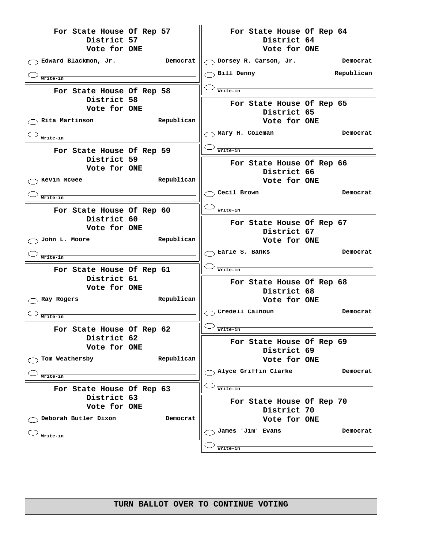**For State House Of Rep 57 District 57 Vote for ONE Edward Blackmon, Jr. Democrat Write-in For State House Of Rep 58 District 58 Vote for ONE Rita Martinson Republican Write-in For State House Of Rep 59 District 59 Vote for ONE** ◯ Kevin McGee **Republican Write-in For State House Of Rep 60 District 60 Vote for ONE John L. Moore Republican Write-in For State House Of Rep 61 District 61 Vote for ONE Ray Rogers Republican Write-in For State House Of Rep 62 District 62 Vote for ONE Tom Weathersby Republican Write-in For State House Of Rep 63 District 63 Vote for ONE Deborah Butler Dixon Democrat Write-in For State House Of Rep 64 District 64 Vote for ONE Dorsey R. Carson, Jr. Democrat** ◯ Bill Denny **Republican Write-in For State House Of Rep 65 District 65 Vote for ONE Mary H. Coleman Democrat Write-in For State House Of Rep 66 District 66 Vote for ONE Cecil Brown Democrat Write-in For State House Of Rep 67 District 67 Vote for ONE Earle S. Banks Democrat Write-in For State House Of Rep 68 District 68 Vote for ONE Credell Calhoun Democrat Write-in For State House Of Rep 69 District 69 Vote for ONE Alyce Griffin Clarke Democrat Write-in For State House Of Rep 70 District 70 Vote for ONE James 'Jim' Evans Democrat Write-in**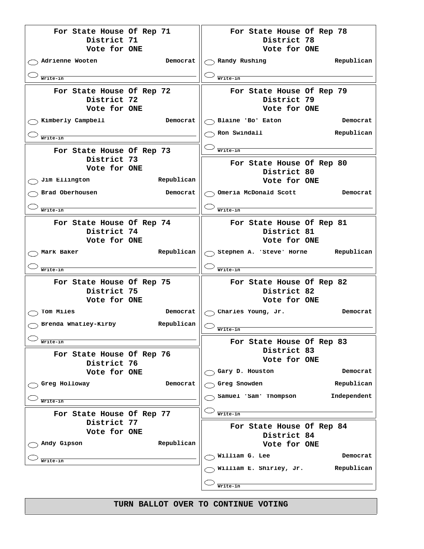| For State House Of Rep 71<br>District 71<br>Vote for ONE   | For State House Of Rep 78<br>District 78<br>Vote for ONE |
|------------------------------------------------------------|----------------------------------------------------------|
| Adrienne Wooten<br>Democrat                                | $\gamma$ Randy Rushing<br>Republican                     |
| Write-in                                                   | Write-in                                                 |
| For State House Of Rep 72<br>District 72<br>Vote for ONE   | For State House Of Rep 79<br>District 79<br>Vote for ONE |
| Kimberly Campbell<br>Democrat                              | $\backslash$ Blaine 'Bo' Eaton<br>Democrat               |
| Write-in                                                   | Ron Swindall<br>Republican                               |
| For State House Of Rep 73                                  | Write-in                                                 |
| District 73<br>Vote for ONE<br>Jim Ellington<br>Republican | For State House Of Rep 80<br>District 80<br>Vote for ONE |
| Brad Oberhousen<br>Democrat                                | Omeria McDonald Scott<br>Democrat                        |
| Write-in                                                   | Write-in                                                 |
| For State House Of Rep 74                                  | For State House Of Rep 81                                |
| District 74                                                | District 81                                              |
| Vote for ONE<br>Republican                                 | Vote for ONE<br>Republican                               |
| Mark Baker                                                 | $\gamma$ Stephen A. 'Steve' Horne                        |
| Write-in                                                   | Write-in                                                 |
| For State House Of Rep 75<br>District 75                   | For State House Of Rep 82<br>District 82                 |
| Vote for ONE                                               | Vote for ONE                                             |
| Tom Miles<br>Democrat                                      | Charles Young, Jr.<br>Democrat                           |
| Republican<br>Brenda Whatley-Kirby                         | Write-in                                                 |
| Write-in                                                   | For State House Of Rep 83                                |
| For State House Of Rep 76<br>District 76                   | District 83<br>Vote for ONE                              |
| Vote for ONE                                               | Gary D. Houston<br>Democrat                              |
| Greg Holloway<br>Democrat                                  | Greg Snowden<br>Republican                               |
| Write-in                                                   | Samuel 'Sam' Thompson<br>Independent                     |
| For State House Of Rep 77                                  | Write-in                                                 |
| District 77<br>Vote for ONE                                | For State House Of Rep 84                                |
| Republican<br>Andy Gipson                                  | District 84<br>Vote for ONE                              |
|                                                            | William G. Lee<br>Democrat                               |
| Write-in                                                   | William E. Shirley, Jr.<br>Republican                    |
|                                                            |                                                          |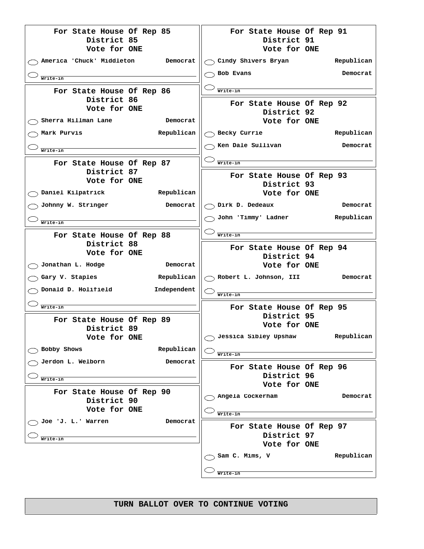| $\bigcirc$ Cindy Shivers Bryan<br>America 'Chuck' Middleton<br>Democrat<br>$\land$ Bob Evans<br>Write-in<br>For State House Of Rep 86<br>Write-in<br>District 86<br>For State House Of Rep 92<br>Vote for ONE<br>District 92<br>Sherra Hillman Lane<br>Democrat<br>Vote for ONE<br>Republican<br>Mark Purvis<br>Becky Currie<br>Ken Dale Sullivan<br>Write-in<br>Write-in<br>For State House Of Rep 87<br>District 87<br>For State House Of Rep 93<br>Vote for ONE<br>District 93<br>Daniel Kilpatrick<br><b>Example 21 Republican</b><br>Vote for ONE<br>Johnny W. Stringer<br>Democrat<br>Dirk D. Dedeaux<br>John 'Timmy' Ladner<br>Write-in<br>Write-in<br>For State House Of Rep 88<br>District 88<br>For State House Of Rep 94<br>Vote for ONE<br>District 94<br>Jonathan L. Hodge<br>Democrat<br>Vote for ONE<br>Republican<br>Gary V. Staples<br>Robert L. Johnson, III<br>Donald D. Holifield<br>Independent<br>Write-in<br>For State House Of Rep 95<br>Write-in<br>District 95<br>For State House Of Rep 89<br>Vote for ONE<br>District 89<br>Jessica Sibley Upshaw<br>Republican<br><b>Vote for ONE</b><br>Bobby Shows<br>Republican<br>Write-in<br>Jerdon L. Welborn<br>Democrat<br>For State House Of Rep 96<br>District 96<br>Write-in<br>Vote for ONE<br>For State House Of Rep 90<br>Angela Cockerham<br>District 90<br>Vote for ONE<br>Write-in<br>Joe 'J. L.' Warren<br>Democrat<br>For State House Of Rep 97<br>District 97<br>Write-in | For State House Of Rep 85<br>District 85<br>Vote for ONE | For State House Of Rep 91<br>District 91<br>Vote for ONE |
|------------------------------------------------------------------------------------------------------------------------------------------------------------------------------------------------------------------------------------------------------------------------------------------------------------------------------------------------------------------------------------------------------------------------------------------------------------------------------------------------------------------------------------------------------------------------------------------------------------------------------------------------------------------------------------------------------------------------------------------------------------------------------------------------------------------------------------------------------------------------------------------------------------------------------------------------------------------------------------------------------------------------------------------------------------------------------------------------------------------------------------------------------------------------------------------------------------------------------------------------------------------------------------------------------------------------------------------------------------------------------------------------------------------------------------------------------------|----------------------------------------------------------|----------------------------------------------------------|
|                                                                                                                                                                                                                                                                                                                                                                                                                                                                                                                                                                                                                                                                                                                                                                                                                                                                                                                                                                                                                                                                                                                                                                                                                                                                                                                                                                                                                                                            |                                                          | Republican                                               |
|                                                                                                                                                                                                                                                                                                                                                                                                                                                                                                                                                                                                                                                                                                                                                                                                                                                                                                                                                                                                                                                                                                                                                                                                                                                                                                                                                                                                                                                            |                                                          | Democrat                                                 |
|                                                                                                                                                                                                                                                                                                                                                                                                                                                                                                                                                                                                                                                                                                                                                                                                                                                                                                                                                                                                                                                                                                                                                                                                                                                                                                                                                                                                                                                            |                                                          |                                                          |
|                                                                                                                                                                                                                                                                                                                                                                                                                                                                                                                                                                                                                                                                                                                                                                                                                                                                                                                                                                                                                                                                                                                                                                                                                                                                                                                                                                                                                                                            |                                                          |                                                          |
|                                                                                                                                                                                                                                                                                                                                                                                                                                                                                                                                                                                                                                                                                                                                                                                                                                                                                                                                                                                                                                                                                                                                                                                                                                                                                                                                                                                                                                                            |                                                          | Republican                                               |
|                                                                                                                                                                                                                                                                                                                                                                                                                                                                                                                                                                                                                                                                                                                                                                                                                                                                                                                                                                                                                                                                                                                                                                                                                                                                                                                                                                                                                                                            |                                                          | Democrat                                                 |
|                                                                                                                                                                                                                                                                                                                                                                                                                                                                                                                                                                                                                                                                                                                                                                                                                                                                                                                                                                                                                                                                                                                                                                                                                                                                                                                                                                                                                                                            |                                                          |                                                          |
|                                                                                                                                                                                                                                                                                                                                                                                                                                                                                                                                                                                                                                                                                                                                                                                                                                                                                                                                                                                                                                                                                                                                                                                                                                                                                                                                                                                                                                                            |                                                          |                                                          |
|                                                                                                                                                                                                                                                                                                                                                                                                                                                                                                                                                                                                                                                                                                                                                                                                                                                                                                                                                                                                                                                                                                                                                                                                                                                                                                                                                                                                                                                            |                                                          |                                                          |
|                                                                                                                                                                                                                                                                                                                                                                                                                                                                                                                                                                                                                                                                                                                                                                                                                                                                                                                                                                                                                                                                                                                                                                                                                                                                                                                                                                                                                                                            |                                                          | Democrat                                                 |
|                                                                                                                                                                                                                                                                                                                                                                                                                                                                                                                                                                                                                                                                                                                                                                                                                                                                                                                                                                                                                                                                                                                                                                                                                                                                                                                                                                                                                                                            |                                                          | Republican                                               |
|                                                                                                                                                                                                                                                                                                                                                                                                                                                                                                                                                                                                                                                                                                                                                                                                                                                                                                                                                                                                                                                                                                                                                                                                                                                                                                                                                                                                                                                            |                                                          |                                                          |
|                                                                                                                                                                                                                                                                                                                                                                                                                                                                                                                                                                                                                                                                                                                                                                                                                                                                                                                                                                                                                                                                                                                                                                                                                                                                                                                                                                                                                                                            |                                                          |                                                          |
|                                                                                                                                                                                                                                                                                                                                                                                                                                                                                                                                                                                                                                                                                                                                                                                                                                                                                                                                                                                                                                                                                                                                                                                                                                                                                                                                                                                                                                                            |                                                          |                                                          |
|                                                                                                                                                                                                                                                                                                                                                                                                                                                                                                                                                                                                                                                                                                                                                                                                                                                                                                                                                                                                                                                                                                                                                                                                                                                                                                                                                                                                                                                            |                                                          | Democrat                                                 |
|                                                                                                                                                                                                                                                                                                                                                                                                                                                                                                                                                                                                                                                                                                                                                                                                                                                                                                                                                                                                                                                                                                                                                                                                                                                                                                                                                                                                                                                            |                                                          |                                                          |
|                                                                                                                                                                                                                                                                                                                                                                                                                                                                                                                                                                                                                                                                                                                                                                                                                                                                                                                                                                                                                                                                                                                                                                                                                                                                                                                                                                                                                                                            |                                                          |                                                          |
|                                                                                                                                                                                                                                                                                                                                                                                                                                                                                                                                                                                                                                                                                                                                                                                                                                                                                                                                                                                                                                                                                                                                                                                                                                                                                                                                                                                                                                                            |                                                          |                                                          |
|                                                                                                                                                                                                                                                                                                                                                                                                                                                                                                                                                                                                                                                                                                                                                                                                                                                                                                                                                                                                                                                                                                                                                                                                                                                                                                                                                                                                                                                            |                                                          |                                                          |
|                                                                                                                                                                                                                                                                                                                                                                                                                                                                                                                                                                                                                                                                                                                                                                                                                                                                                                                                                                                                                                                                                                                                                                                                                                                                                                                                                                                                                                                            |                                                          |                                                          |
|                                                                                                                                                                                                                                                                                                                                                                                                                                                                                                                                                                                                                                                                                                                                                                                                                                                                                                                                                                                                                                                                                                                                                                                                                                                                                                                                                                                                                                                            |                                                          |                                                          |
|                                                                                                                                                                                                                                                                                                                                                                                                                                                                                                                                                                                                                                                                                                                                                                                                                                                                                                                                                                                                                                                                                                                                                                                                                                                                                                                                                                                                                                                            |                                                          |                                                          |
|                                                                                                                                                                                                                                                                                                                                                                                                                                                                                                                                                                                                                                                                                                                                                                                                                                                                                                                                                                                                                                                                                                                                                                                                                                                                                                                                                                                                                                                            |                                                          |                                                          |
|                                                                                                                                                                                                                                                                                                                                                                                                                                                                                                                                                                                                                                                                                                                                                                                                                                                                                                                                                                                                                                                                                                                                                                                                                                                                                                                                                                                                                                                            |                                                          | Democrat                                                 |
|                                                                                                                                                                                                                                                                                                                                                                                                                                                                                                                                                                                                                                                                                                                                                                                                                                                                                                                                                                                                                                                                                                                                                                                                                                                                                                                                                                                                                                                            |                                                          |                                                          |
|                                                                                                                                                                                                                                                                                                                                                                                                                                                                                                                                                                                                                                                                                                                                                                                                                                                                                                                                                                                                                                                                                                                                                                                                                                                                                                                                                                                                                                                            |                                                          |                                                          |
|                                                                                                                                                                                                                                                                                                                                                                                                                                                                                                                                                                                                                                                                                                                                                                                                                                                                                                                                                                                                                                                                                                                                                                                                                                                                                                                                                                                                                                                            |                                                          |                                                          |
|                                                                                                                                                                                                                                                                                                                                                                                                                                                                                                                                                                                                                                                                                                                                                                                                                                                                                                                                                                                                                                                                                                                                                                                                                                                                                                                                                                                                                                                            |                                                          | Vote for ONE                                             |
| Sam C. Mims, V                                                                                                                                                                                                                                                                                                                                                                                                                                                                                                                                                                                                                                                                                                                                                                                                                                                                                                                                                                                                                                                                                                                                                                                                                                                                                                                                                                                                                                             |                                                          | Republican                                               |
| Write-in                                                                                                                                                                                                                                                                                                                                                                                                                                                                                                                                                                                                                                                                                                                                                                                                                                                                                                                                                                                                                                                                                                                                                                                                                                                                                                                                                                                                                                                   |                                                          |                                                          |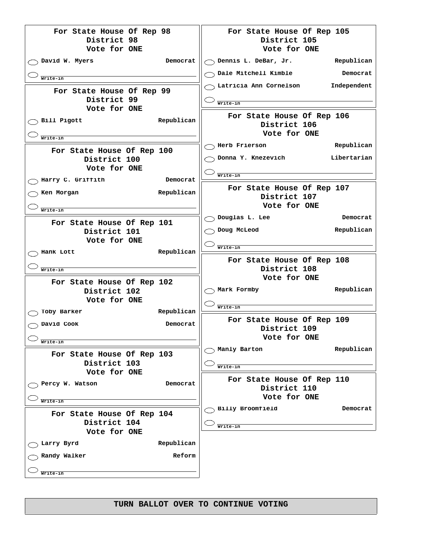| For State House Of Rep 98<br>District 98                   |            | For State House Of Rep 105<br>District 105                 |             |
|------------------------------------------------------------|------------|------------------------------------------------------------|-------------|
| Vote for ONE                                               |            | Vote for ONE                                               |             |
| David W. Myers                                             | Democrat   | $\bigcap$ Dennis L. DeBar, Jr.                             | Republican  |
| Write-in                                                   |            | Dale Mitchell Kimble                                       | Democrat    |
| For State House Of Rep 99<br>District 99<br>Vote for ONE   |            | Latricia Ann Cornelson<br>Write-in                         | Independent |
| Bill Pigott<br>Write-in                                    | Republican | For State House Of Rep 106<br>District 106<br>Vote for ONE |             |
|                                                            |            | Herb Frierson                                              | Republican  |
| For State House Of Rep 100<br>District 100<br>Vote for ONE |            | Donna Y. Knezevich                                         | Libertarian |
| Harry C. Griffith                                          | Democrat   | Write-in                                                   |             |
| Ken Morgan                                                 | Republican | For State House Of Rep 107<br>District 107<br>Vote for ONE |             |
| Write-in                                                   |            | Douglas L. Lee                                             | Democrat    |
| For State House Of Rep 101<br>District 101<br>Vote for ONE |            | Doug McLeod                                                | Republican  |
| Hank Lott                                                  | Republican | Write-in                                                   |             |
|                                                            |            |                                                            |             |
| Write-in                                                   |            | For State House Of Rep 108<br>District 108                 |             |
| For State House Of Rep 102<br>District 102<br>Vote for ONE |            | Vote for ONE<br>Mark Formby                                | Republican  |
| Toby Barker                                                | Republican | Write-in                                                   |             |
| David Cook                                                 | Democrat   | For State House Of Rep 109<br>District 109                 |             |
| Write-in                                                   |            | Vote for ONE                                               |             |
| For State House Of Rep 103<br>District 103                 |            | Manly Barton<br>Write-in                                   | Republican  |
| Vote for ONE<br>Percy W. Watson                            | Democrat   | For State House Of Rep 110<br>District 110                 |             |
| Write-in                                                   |            | Vote for ONE                                               |             |
| For State House Of Rep 104<br>District 104<br>Vote for ONE |            | Billy Broomfield<br>Write-in                               | Democrat    |
| Larry Byrd                                                 | Republican |                                                            |             |
| Randy Walker                                               | Reform     |                                                            |             |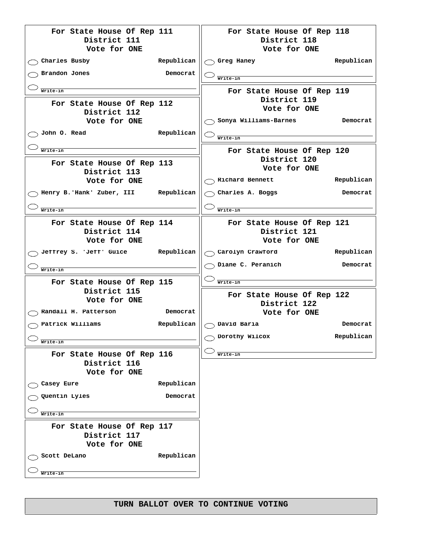| For State House Of Rep 111<br>District 111                 |            | For State House Of Rep 118<br>District 118 |            |
|------------------------------------------------------------|------------|--------------------------------------------|------------|
| Vote for ONE                                               |            | Vote for ONE                               |            |
| Charles Busby                                              | Republican | Greg Haney                                 | Republican |
| Brandon Jones                                              | Democrat   | Write-in                                   |            |
| Write-in                                                   |            | For State House Of Rep 119                 |            |
| For State House Of Rep 112                                 |            | District 119<br>Vote for ONE               |            |
| District 112<br>Vote for ONE                               |            | Sonya Williams-Barnes                      | Democrat   |
| John O. Read                                               | Republican |                                            |            |
|                                                            |            | Write-in                                   |            |
| Write-in                                                   |            | For State House Of Rep 120                 |            |
| For State House Of Rep 113                                 |            | District 120                               |            |
| District 113                                               |            | Vote for ONE                               |            |
| Vote for ONE                                               |            | Richard Bennett                            | Republican |
| Henry B. 'Hank' Zuber, III Republican                      |            | Charles A. Boggs                           | Democrat   |
| Write-in                                                   |            | Write-in                                   |            |
| For State House Of Rep 114                                 |            | For State House Of Rep 121                 |            |
| District 114                                               |            | District 121                               |            |
| Vote for ONE                                               |            | Vote for ONE                               |            |
| Jeffrey S. 'Jeff' Guice Republican                         |            | $\bigcirc$ Carolyn Crawford                | Republican |
| Write-in                                                   |            | Diane C. Peranich                          | Democrat   |
| For State House Of Rep 115                                 |            | Write-in                                   |            |
| District 115                                               |            | For State House Of Rep 122                 |            |
| Vote for ONE                                               |            | District 122                               |            |
| Randall H. Patterson                                       | Democrat   | Vote for ONE                               |            |
| Patrick Williams                                           | Republican | $\backslash$ David Baria                   | Democrat   |
| Write-in                                                   |            | Dorothy Wilcox                             | Republican |
| For State House Of Rep 116                                 |            | Write-in                                   |            |
| District 116                                               |            |                                            |            |
| Vote for ONE                                               |            |                                            |            |
| Casey Eure                                                 | Republican |                                            |            |
| Quentin Lyles                                              | Democrat   |                                            |            |
| Write-in                                                   |            |                                            |            |
| For State House Of Rep 117<br>District 117<br>Vote for ONE |            |                                            |            |
| Scott DeLano                                               | Republican |                                            |            |
| Write-in                                                   |            |                                            |            |
|                                                            |            |                                            |            |